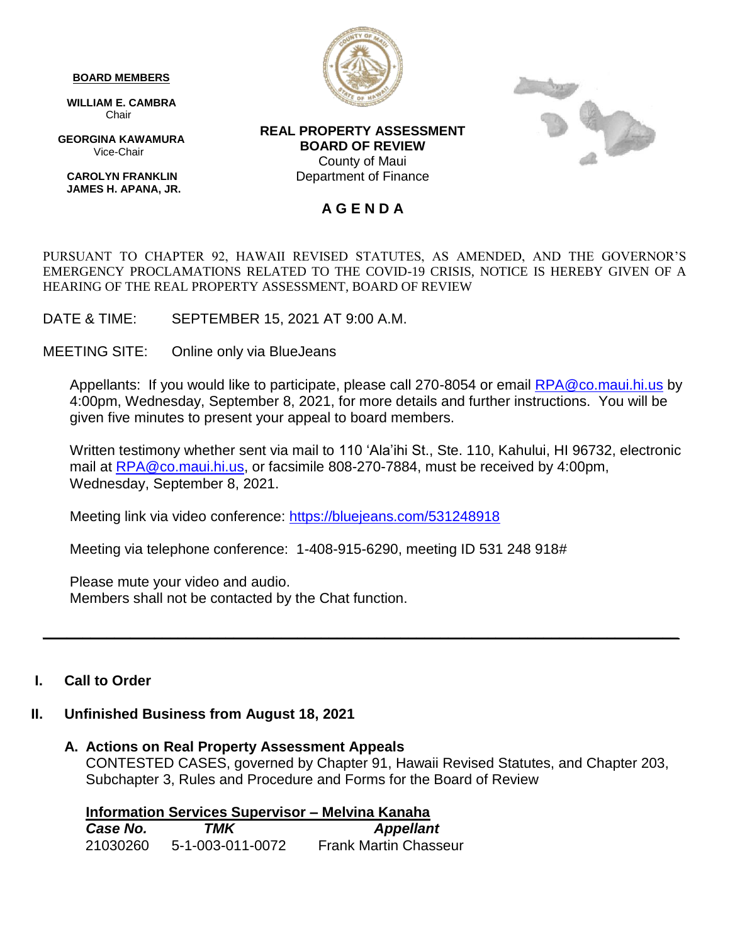#### **BOARD MEMBERS**

 **WILLIAM E. CAMBRA** Chair

 **GEORGINA KAWAMURA** Vice-Chair

 **CAROLYN FRANKLIN JAMES H. APANA, JR.**



**REAL PROPERTY ASSESSMENT BOARD OF REVIEW** County of Maui Department of Finance



#### **A G E N D A**

PURSUANT TO CHAPTER 92, HAWAII REVISED STATUTES, AS AMENDED, AND THE GOVERNOR'S EMERGENCY PROCLAMATIONS RELATED TO THE COVID-19 CRISIS, NOTICE IS HEREBY GIVEN OF A HEARING OF THE REAL PROPERTY ASSESSMENT, BOARD OF REVIEW

DATE & TIME: SEPTEMBER 15, 2021 AT 9:00 A.M.

MEETING SITE: Online only via BlueJeans

Appellants: If you would like to participate, please call 270-8054 or email **RPA@co.maui.hi.us** by 4:00pm, Wednesday, September 8, 2021, for more details and further instructions. You will be given five minutes to present your appeal to board members.

Written testimony whether sent via mail to 110 'Ala'ihi St., Ste. 110, Kahului, HI 96732, electronic mail at [RPA@co.maui.hi.us,](mailto:RPA@co.maui.hi.us) or facsimile 808-270-7884, must be received by 4:00pm, Wednesday, September 8, 2021.

Meeting link via video conference: <https://bluejeans.com/531248918>

Meeting via telephone conference: 1-408-915-6290, meeting ID 531 248 918#

Please mute your video and audio. Members shall not be contacted by the Chat function.

#### **I. Call to Order**

# **II. Unfinished Business from August 18, 2021**

**A. Actions on Real Property Assessment Appeals** CONTESTED CASES, governed by Chapter 91, Hawaii Revised Statutes, and Chapter 203, Subchapter 3, Rules and Procedure and Forms for the Board of Review

**\_\_\_\_\_\_\_\_\_\_\_\_\_\_\_\_\_\_\_\_\_\_\_\_\_\_\_\_\_\_\_\_\_\_\_\_\_\_\_\_\_\_\_\_\_\_\_\_\_\_\_\_\_\_\_\_\_\_\_\_\_\_\_\_\_\_\_\_\_\_\_\_\_\_\_\_\_\_\_\_**

**Information Services Supervisor – Melvina Kanaha**  *Case No. TMK Appellant* 21030260 5-1-003-011-0072 Frank Martin Chasseur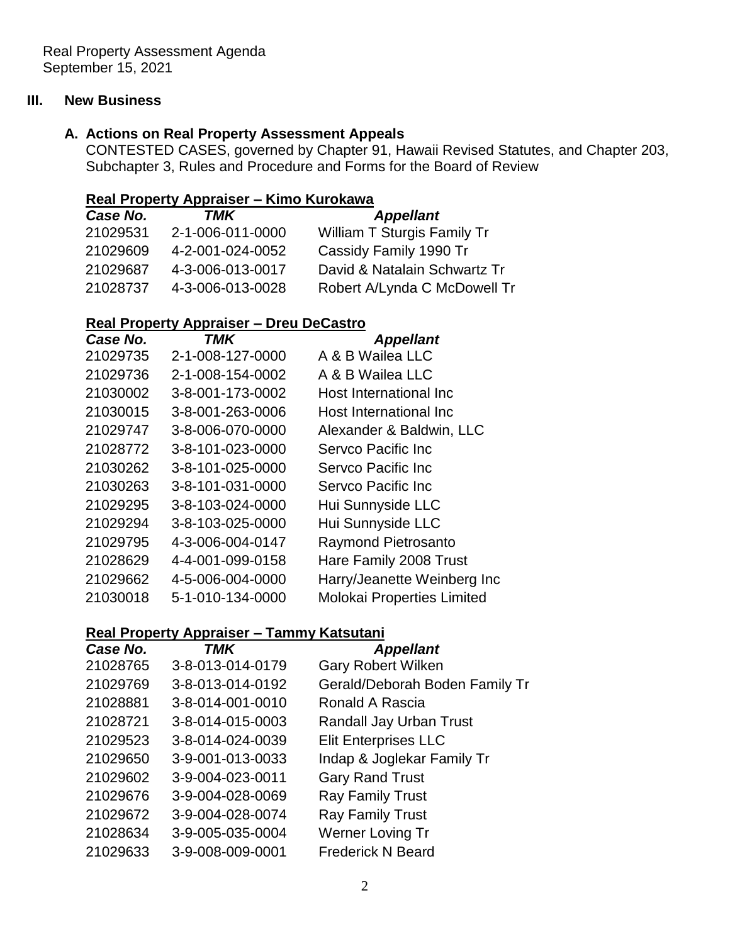## **III. New Business**

# **A. Actions on Real Property Assessment Appeals**

CONTESTED CASES, governed by Chapter 91, Hawaii Revised Statutes, and Chapter 203, Subchapter 3, Rules and Procedure and Forms for the Board of Review

# **Real Property Appraiser – Kimo Kurokawa**

| Case No. | TMK              | <b>Appellant</b>             |
|----------|------------------|------------------------------|
| 21029531 | 2-1-006-011-0000 | William T Sturgis Family Tr  |
| 21029609 | 4-2-001-024-0052 | Cassidy Family 1990 Tr       |
| 21029687 | 4-3-006-013-0017 | David & Natalain Schwartz Tr |
| 21028737 | 4-3-006-013-0028 | Robert A/Lynda C McDowell Tr |
|          |                  |                              |

## **Real Property Appraiser – Dreu DeCastro**

| Case No. | <b>TMK</b>       | <b>Appellant</b>                  |
|----------|------------------|-----------------------------------|
| 21029735 | 2-1-008-127-0000 | A & B Wailea LLC                  |
| 21029736 | 2-1-008-154-0002 | A & B Wailea LLC                  |
| 21030002 | 3-8-001-173-0002 | Host International Inc            |
| 21030015 | 3-8-001-263-0006 | Host International Inc            |
| 21029747 | 3-8-006-070-0000 | Alexander & Baldwin, LLC          |
| 21028772 | 3-8-101-023-0000 | Servco Pacific Inc                |
| 21030262 | 3-8-101-025-0000 | Servco Pacific Inc                |
| 21030263 | 3-8-101-031-0000 | Servco Pacific Inc                |
| 21029295 | 3-8-103-024-0000 | Hui Sunnyside LLC                 |
| 21029294 | 3-8-103-025-0000 | Hui Sunnyside LLC                 |
| 21029795 | 4-3-006-004-0147 | <b>Raymond Pietrosanto</b>        |
| 21028629 | 4-4-001-099-0158 | Hare Family 2008 Trust            |
| 21029662 | 4-5-006-004-0000 | Harry/Jeanette Weinberg Inc       |
| 21030018 | 5-1-010-134-0000 | <b>Molokai Properties Limited</b> |

# **Real Property Appraiser – Tammy Katsutani**

| Case No. | <b>TMK</b>       | <b>Appellant</b>               |
|----------|------------------|--------------------------------|
| 21028765 | 3-8-013-014-0179 | <b>Gary Robert Wilken</b>      |
| 21029769 | 3-8-013-014-0192 | Gerald/Deborah Boden Family Tr |
| 21028881 | 3-8-014-001-0010 | Ronald A Rascia                |
| 21028721 | 3-8-014-015-0003 | <b>Randall Jay Urban Trust</b> |
| 21029523 | 3-8-014-024-0039 | <b>Elit Enterprises LLC</b>    |
| 21029650 | 3-9-001-013-0033 | Indap & Joglekar Family Tr     |
| 21029602 | 3-9-004-023-0011 | <b>Gary Rand Trust</b>         |
| 21029676 | 3-9-004-028-0069 | <b>Ray Family Trust</b>        |
| 21029672 | 3-9-004-028-0074 | <b>Ray Family Trust</b>        |
| 21028634 | 3-9-005-035-0004 | Werner Loving Tr               |
| 21029633 | 3-9-008-009-0001 | <b>Frederick N Beard</b>       |